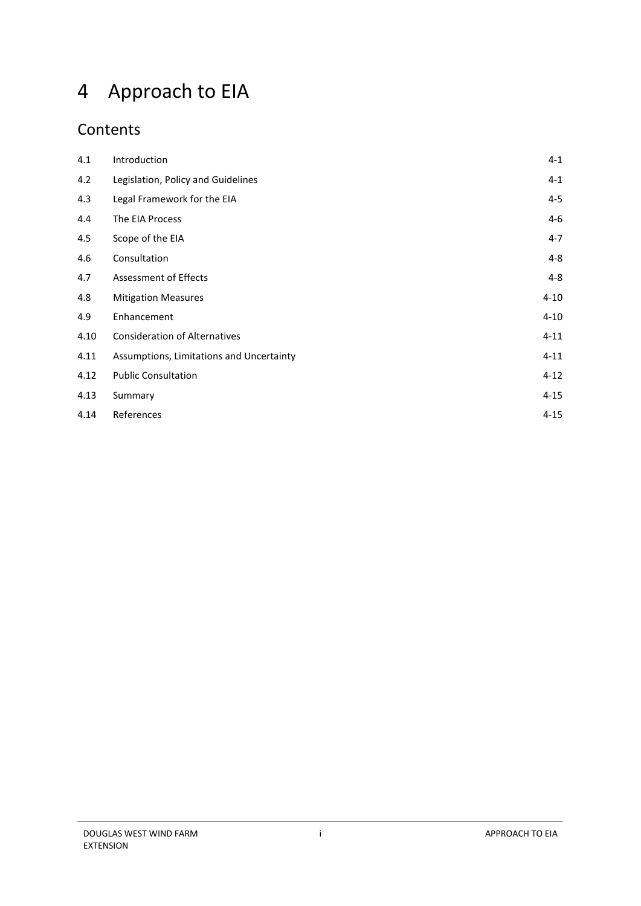# 4 Approach to EIA

# **Contents**

| 4.1  | Introduction                             | $4 - 1$  |
|------|------------------------------------------|----------|
| 4.2  | Legislation, Policy and Guidelines       | $4 - 1$  |
| 4.3  | Legal Framework for the EIA              | $4 - 5$  |
| 4.4  | The EIA Process                          | $4 - 6$  |
| 4.5  | Scope of the EIA                         | $4 - 7$  |
| 4.6  | Consultation                             | $4 - 8$  |
| 4.7  | Assessment of Effects                    | 4-8      |
| 4.8  | <b>Mitigation Measures</b>               | $4 - 10$ |
| 4.9  | Enhancement                              | $4 - 10$ |
| 4.10 | <b>Consideration of Alternatives</b>     | $4 - 11$ |
| 4.11 | Assumptions, Limitations and Uncertainty | $4 - 11$ |
| 4.12 | <b>Public Consultation</b>               | $4 - 12$ |
| 4.13 | Summary                                  | $4 - 15$ |
| 4.14 | References                               | $4 - 15$ |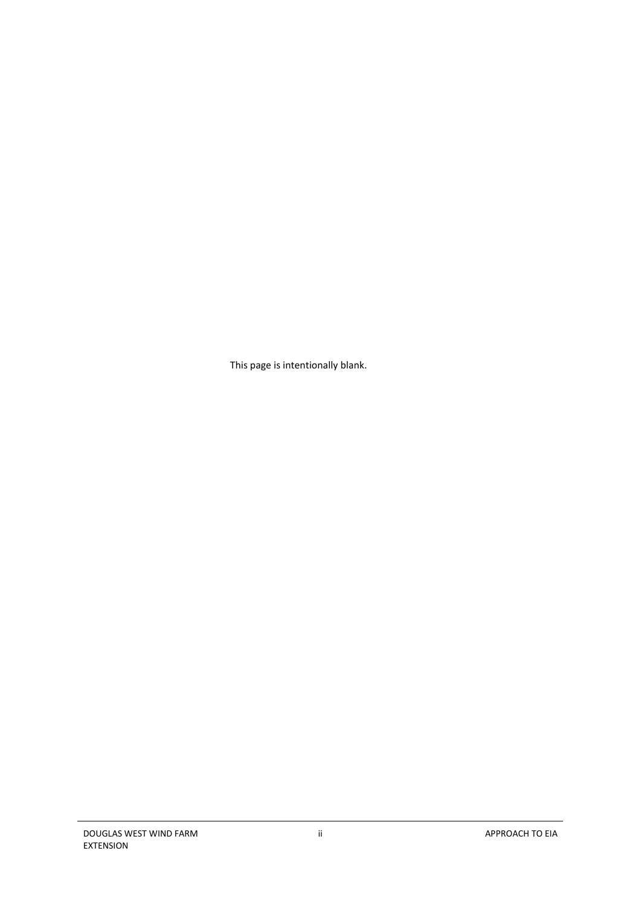This page is intentionally blank.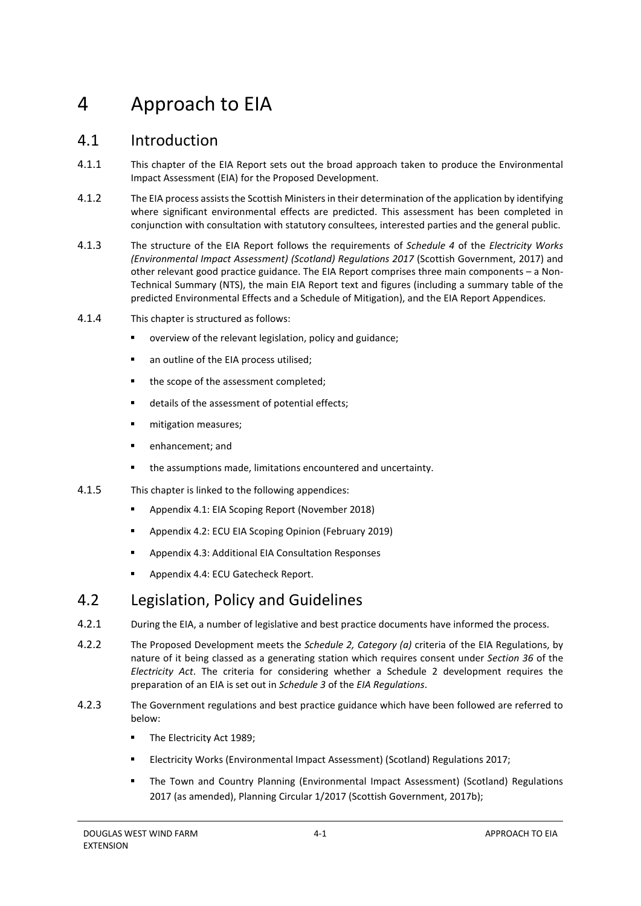# 4 Approach to EIA

## <span id="page-2-0"></span>4.1 Introduction

- 4.1.1 This chapter of the EIA Report sets out the broad approach taken to produce the Environmental Impact Assessment (EIA) for the Proposed Development.
- 4.1.2 The EIA process assists the Scottish Ministers in their determination of the application by identifying where significant environmental effects are predicted. This assessment has been completed in conjunction with consultation with statutory consultees, interested parties and the general public.
- 4.1.3 The structure of the EIA Report follows the requirements of *Schedule 4* of the *Electricity Works (Environmental Impact Assessment) (Scotland) Regulations 2017* (Scottish Government, 2017) and other relevant good practice guidance. The EIA Report comprises three main components – a Non-Technical Summary (NTS), the main EIA Report text and figures (including a summary table of the predicted Environmental Effects and a Schedule of Mitigation), and the EIA Report Appendices.
- 4.1.4 This chapter is structured as follows:
	- overview of the relevant legislation, policy and guidance;
	- an outline of the EIA process utilised:
	- the scope of the assessment completed;
	- **details of the assessment of potential effects;**
	- **nd** mitigation measures;
	- **•** enhancement: and
	- the assumptions made, limitations encountered and uncertainty.
- 4.1.5 This chapter is linked to the following appendices:
	- Appendix 4.1: EIA Scoping Report (November 2018)
	- Appendix 4.2: ECU EIA Scoping Opinion (February 2019)
	- Appendix 4.3: Additional EIA Consultation Responses
	- Appendix 4.4: ECU Gatecheck Report.

## <span id="page-2-1"></span>4.2 Legislation, Policy and Guidelines

- 4.2.1 During the EIA, a number of legislative and best practice documents have informed the process.
- 4.2.2 The Proposed Development meets the *Schedule 2, Category (a)* criteria of the EIA Regulations, by nature of it being classed as a generating station which requires consent under *Section 36* of the *Electricity Act*. The criteria for considering whether a Schedule 2 development requires the preparation of an EIA is set out in *Schedule 3* of the *EIA Regulations*.
- 4.2.3 The Government regulations and best practice guidance which have been followed are referred to below:
	- The Electricity Act 1989;
	- Electricity Works (Environmental Impact Assessment) (Scotland) Regulations 2017;
	- The Town and Country Planning (Environmental Impact Assessment) (Scotland) Regulations 2017 (as amended), Planning Circular 1/2017 (Scottish Government, 2017b);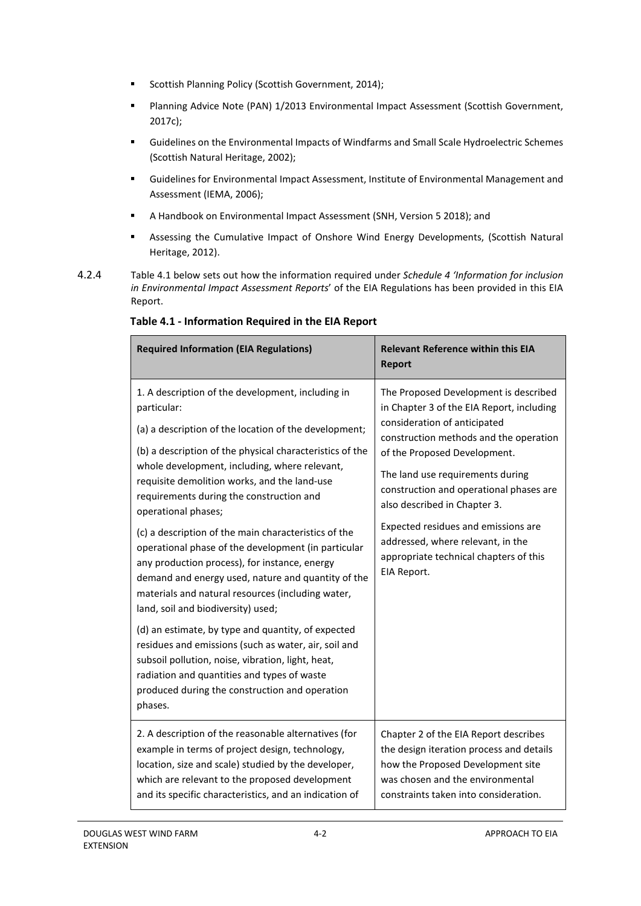- **Scottish Planning Policy (Scottish Government, 2014);**
- Planning Advice Note (PAN) 1/2013 Environmental Impact Assessment (Scottish Government, 2017c);
- Guidelines on the Environmental Impacts of Windfarms and Small Scale Hydroelectric Schemes (Scottish Natural Heritage, 2002);
- Guidelines for Environmental Impact Assessment, Institute of Environmental Management and Assessment (IEMA, 2006);
- A Handbook on Environmental Impact Assessment (SNH, Version 5 2018); and
- Assessing the Cumulative Impact of Onshore Wind Energy Developments, (Scottish Natural Heritage, 2012).
- 4.2.4 Table 4.1 below sets out how the information required under *Schedule 4 'Information for inclusion in Environmental Impact Assessment Reports*' of the EIA Regulations has been provided in this EIA Report.

| <b>Required Information (EIA Regulations)</b>                                                                                                                                                                                                                                                                                                                                                                                                                                                                                                                                                                                                                                                                                                                                                                                                                                                | <b>Relevant Reference within this EIA</b><br><b>Report</b>                                                                                                                                                                                                                                                                                                                                                                                       |
|----------------------------------------------------------------------------------------------------------------------------------------------------------------------------------------------------------------------------------------------------------------------------------------------------------------------------------------------------------------------------------------------------------------------------------------------------------------------------------------------------------------------------------------------------------------------------------------------------------------------------------------------------------------------------------------------------------------------------------------------------------------------------------------------------------------------------------------------------------------------------------------------|--------------------------------------------------------------------------------------------------------------------------------------------------------------------------------------------------------------------------------------------------------------------------------------------------------------------------------------------------------------------------------------------------------------------------------------------------|
| 1. A description of the development, including in<br>particular:<br>(a) a description of the location of the development;<br>(b) a description of the physical characteristics of the<br>whole development, including, where relevant,<br>requisite demolition works, and the land-use<br>requirements during the construction and<br>operational phases;<br>(c) a description of the main characteristics of the<br>operational phase of the development (in particular<br>any production process), for instance, energy<br>demand and energy used, nature and quantity of the<br>materials and natural resources (including water,<br>land, soil and biodiversity) used;<br>(d) an estimate, by type and quantity, of expected<br>residues and emissions (such as water, air, soil and<br>subsoil pollution, noise, vibration, light, heat,<br>radiation and quantities and types of waste | The Proposed Development is described<br>in Chapter 3 of the EIA Report, including<br>consideration of anticipated<br>construction methods and the operation<br>of the Proposed Development.<br>The land use requirements during<br>construction and operational phases are<br>also described in Chapter 3.<br>Expected residues and emissions are<br>addressed, where relevant, in the<br>appropriate technical chapters of this<br>EIA Report. |
| produced during the construction and operation<br>phases.                                                                                                                                                                                                                                                                                                                                                                                                                                                                                                                                                                                                                                                                                                                                                                                                                                    |                                                                                                                                                                                                                                                                                                                                                                                                                                                  |
| 2. A description of the reasonable alternatives (for<br>example in terms of project design, technology,<br>location, size and scale) studied by the developer,<br>which are relevant to the proposed development<br>and its specific characteristics, and an indication of                                                                                                                                                                                                                                                                                                                                                                                                                                                                                                                                                                                                                   | Chapter 2 of the EIA Report describes<br>the design iteration process and details<br>how the Proposed Development site<br>was chosen and the environmental<br>constraints taken into consideration.                                                                                                                                                                                                                                              |

#### **Table 4.1 - Information Required in the EIA Report**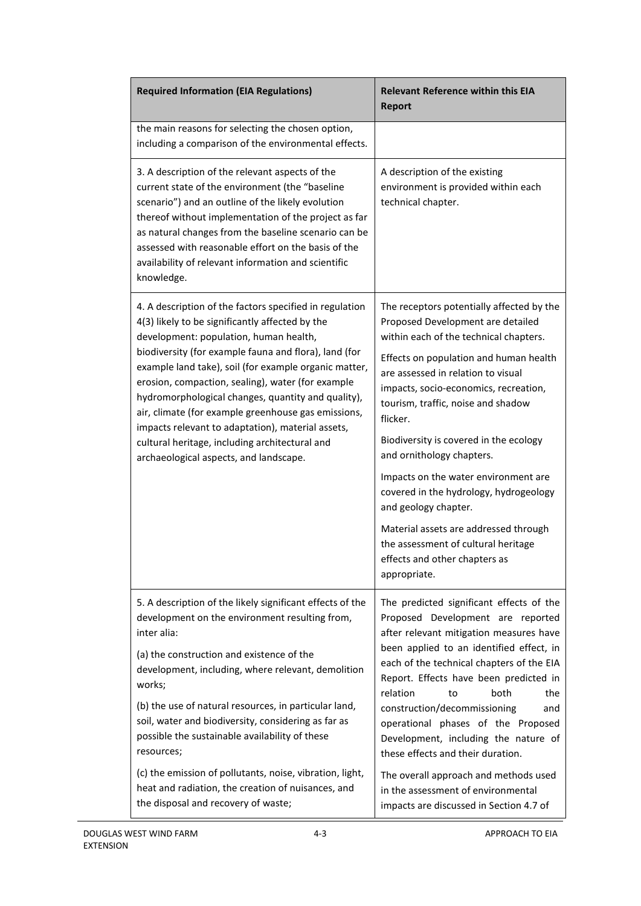| <b>Required Information (EIA Regulations)</b>                                                                                                                                                                                                                                                                                                                                                                                                                                                                                                                                             | <b>Relevant Reference within this EIA</b><br><b>Report</b>                                                                                                                                                                                                                                                                                                                                                                                                                                                                                                                                                            |
|-------------------------------------------------------------------------------------------------------------------------------------------------------------------------------------------------------------------------------------------------------------------------------------------------------------------------------------------------------------------------------------------------------------------------------------------------------------------------------------------------------------------------------------------------------------------------------------------|-----------------------------------------------------------------------------------------------------------------------------------------------------------------------------------------------------------------------------------------------------------------------------------------------------------------------------------------------------------------------------------------------------------------------------------------------------------------------------------------------------------------------------------------------------------------------------------------------------------------------|
| the main reasons for selecting the chosen option,<br>including a comparison of the environmental effects.                                                                                                                                                                                                                                                                                                                                                                                                                                                                                 |                                                                                                                                                                                                                                                                                                                                                                                                                                                                                                                                                                                                                       |
| 3. A description of the relevant aspects of the<br>current state of the environment (the "baseline<br>scenario") and an outline of the likely evolution<br>thereof without implementation of the project as far<br>as natural changes from the baseline scenario can be<br>assessed with reasonable effort on the basis of the<br>availability of relevant information and scientific<br>knowledge.                                                                                                                                                                                       | A description of the existing<br>environment is provided within each<br>technical chapter.                                                                                                                                                                                                                                                                                                                                                                                                                                                                                                                            |
| 4. A description of the factors specified in regulation<br>4(3) likely to be significantly affected by the<br>development: population, human health,<br>biodiversity (for example fauna and flora), land (for<br>example land take), soil (for example organic matter,<br>erosion, compaction, sealing), water (for example<br>hydromorphological changes, quantity and quality),<br>air, climate (for example greenhouse gas emissions,<br>impacts relevant to adaptation), material assets,<br>cultural heritage, including architectural and<br>archaeological aspects, and landscape. | The receptors potentially affected by the<br>Proposed Development are detailed<br>within each of the technical chapters.<br>Effects on population and human health<br>are assessed in relation to visual<br>impacts, socio-economics, recreation,<br>tourism, traffic, noise and shadow<br>flicker.<br>Biodiversity is covered in the ecology<br>and ornithology chapters.<br>Impacts on the water environment are<br>covered in the hydrology, hydrogeology<br>and geology chapter.<br>Material assets are addressed through<br>the assessment of cultural heritage<br>effects and other chapters as<br>appropriate. |
| 5. A description of the likely significant effects of the<br>development on the environment resulting from,<br>inter alia:<br>(a) the construction and existence of the<br>development, including, where relevant, demolition<br>works;<br>(b) the use of natural resources, in particular land,<br>soil, water and biodiversity, considering as far as<br>possible the sustainable availability of these<br>resources;<br>(c) the emission of pollutants, noise, vibration, light,<br>heat and radiation, the creation of nuisances, and<br>the disposal and recovery of waste;          | The predicted significant effects of the<br>Proposed Development are reported<br>after relevant mitigation measures have<br>been applied to an identified effect, in<br>each of the technical chapters of the EIA<br>Report. Effects have been predicted in<br>relation<br>both<br>the<br>to<br>construction/decommissioning<br>and<br>operational phases of the Proposed<br>Development, including the nature of<br>these effects and their duration.<br>The overall approach and methods used<br>in the assessment of environmental<br>impacts are discussed in Section 4.7 of                                      |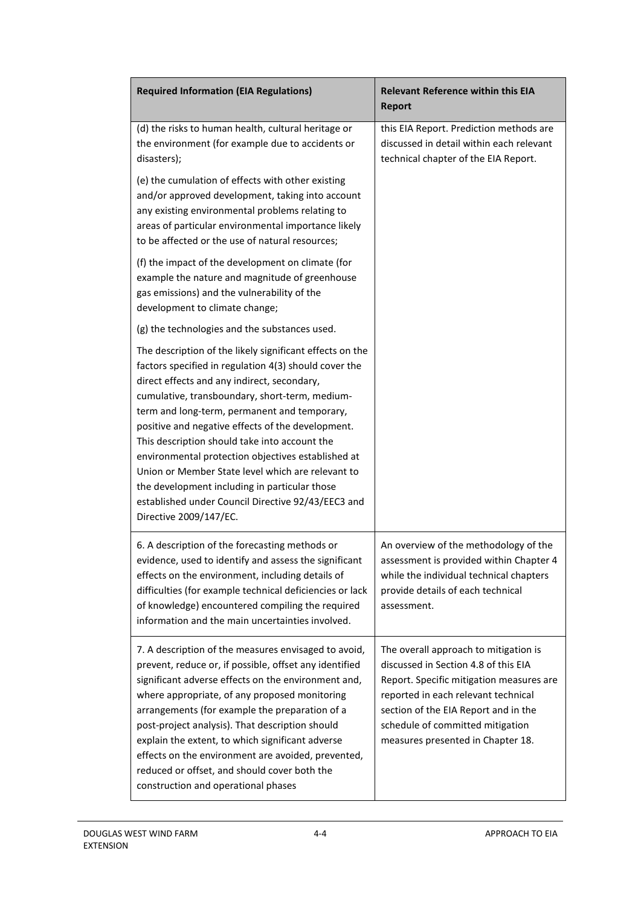| <b>Required Information (EIA Regulations)</b>                                                                                                                                                                                                                                                                                                                                                                                                                                                                                                                                                                        | <b>Relevant Reference within this EIA</b><br><b>Report</b>                                                                                                                                                                                                                        |
|----------------------------------------------------------------------------------------------------------------------------------------------------------------------------------------------------------------------------------------------------------------------------------------------------------------------------------------------------------------------------------------------------------------------------------------------------------------------------------------------------------------------------------------------------------------------------------------------------------------------|-----------------------------------------------------------------------------------------------------------------------------------------------------------------------------------------------------------------------------------------------------------------------------------|
| (d) the risks to human health, cultural heritage or<br>the environment (for example due to accidents or<br>disasters);                                                                                                                                                                                                                                                                                                                                                                                                                                                                                               | this EIA Report. Prediction methods are<br>discussed in detail within each relevant<br>technical chapter of the EIA Report.                                                                                                                                                       |
| (e) the cumulation of effects with other existing<br>and/or approved development, taking into account<br>any existing environmental problems relating to<br>areas of particular environmental importance likely<br>to be affected or the use of natural resources;                                                                                                                                                                                                                                                                                                                                                   |                                                                                                                                                                                                                                                                                   |
| (f) the impact of the development on climate (for<br>example the nature and magnitude of greenhouse<br>gas emissions) and the vulnerability of the<br>development to climate change;                                                                                                                                                                                                                                                                                                                                                                                                                                 |                                                                                                                                                                                                                                                                                   |
| (g) the technologies and the substances used.                                                                                                                                                                                                                                                                                                                                                                                                                                                                                                                                                                        |                                                                                                                                                                                                                                                                                   |
| The description of the likely significant effects on the<br>factors specified in regulation 4(3) should cover the<br>direct effects and any indirect, secondary,<br>cumulative, transboundary, short-term, medium-<br>term and long-term, permanent and temporary,<br>positive and negative effects of the development.<br>This description should take into account the<br>environmental protection objectives established at<br>Union or Member State level which are relevant to<br>the development including in particular those<br>established under Council Directive 92/43/EEC3 and<br>Directive 2009/147/EC. |                                                                                                                                                                                                                                                                                   |
| 6. A description of the forecasting methods or<br>evidence, used to identify and assess the significant<br>effects on the environment, including details of<br>difficulties (for example technical deficiencies or lack<br>of knowledge) encountered compiling the required<br>information and the main uncertainties involved.                                                                                                                                                                                                                                                                                      | An overview of the methodology of the<br>assessment is provided within Chapter 4<br>while the individual technical chapters<br>provide details of each technical<br>assessment.                                                                                                   |
| 7. A description of the measures envisaged to avoid,<br>prevent, reduce or, if possible, offset any identified<br>significant adverse effects on the environment and,<br>where appropriate, of any proposed monitoring<br>arrangements (for example the preparation of a<br>post-project analysis). That description should<br>explain the extent, to which significant adverse<br>effects on the environment are avoided, prevented,<br>reduced or offset, and should cover both the<br>construction and operational phases                                                                                         | The overall approach to mitigation is<br>discussed in Section 4.8 of this EIA<br>Report. Specific mitigation measures are<br>reported in each relevant technical<br>section of the EIA Report and in the<br>schedule of committed mitigation<br>measures presented in Chapter 18. |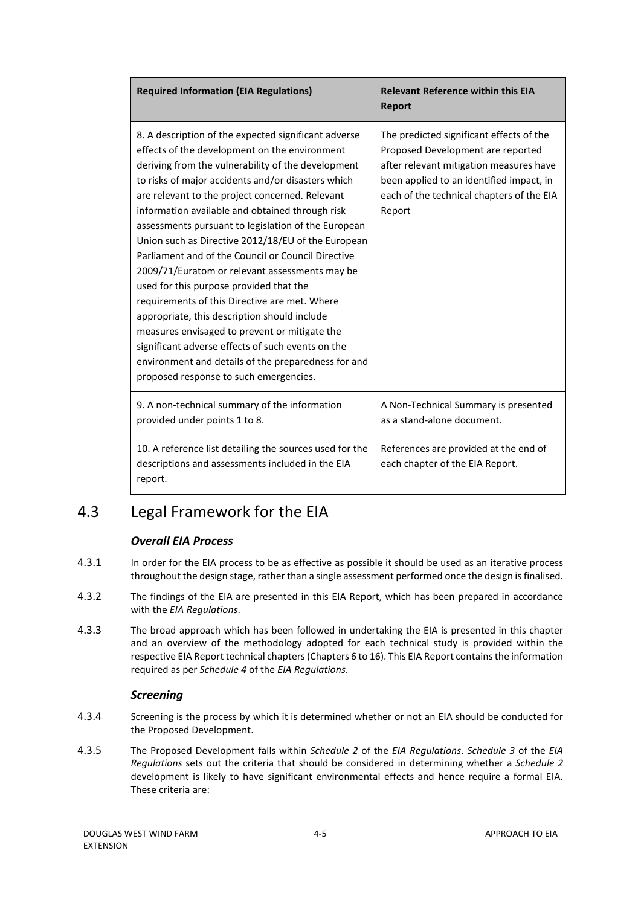| <b>Required Information (EIA Regulations)</b>                                                                                                                                                                                                                                                                                                                                                                                                                                                                                                                                                                                                                                                                                                                                                                                                                                                   | <b>Relevant Reference within this EIA</b><br><b>Report</b>                                                                                                                                                                  |
|-------------------------------------------------------------------------------------------------------------------------------------------------------------------------------------------------------------------------------------------------------------------------------------------------------------------------------------------------------------------------------------------------------------------------------------------------------------------------------------------------------------------------------------------------------------------------------------------------------------------------------------------------------------------------------------------------------------------------------------------------------------------------------------------------------------------------------------------------------------------------------------------------|-----------------------------------------------------------------------------------------------------------------------------------------------------------------------------------------------------------------------------|
| 8. A description of the expected significant adverse<br>effects of the development on the environment<br>deriving from the vulnerability of the development<br>to risks of major accidents and/or disasters which<br>are relevant to the project concerned. Relevant<br>information available and obtained through risk<br>assessments pursuant to legislation of the European<br>Union such as Directive 2012/18/EU of the European<br>Parliament and of the Council or Council Directive<br>2009/71/Euratom or relevant assessments may be<br>used for this purpose provided that the<br>requirements of this Directive are met. Where<br>appropriate, this description should include<br>measures envisaged to prevent or mitigate the<br>significant adverse effects of such events on the<br>environment and details of the preparedness for and<br>proposed response to such emergencies. | The predicted significant effects of the<br>Proposed Development are reported<br>after relevant mitigation measures have<br>been applied to an identified impact, in<br>each of the technical chapters of the EIA<br>Report |
| 9. A non-technical summary of the information<br>provided under points 1 to 8.                                                                                                                                                                                                                                                                                                                                                                                                                                                                                                                                                                                                                                                                                                                                                                                                                  | A Non-Technical Summary is presented<br>as a stand-alone document.                                                                                                                                                          |
| 10. A reference list detailing the sources used for the<br>descriptions and assessments included in the EIA<br>report.                                                                                                                                                                                                                                                                                                                                                                                                                                                                                                                                                                                                                                                                                                                                                                          | References are provided at the end of<br>each chapter of the EIA Report.                                                                                                                                                    |

# <span id="page-6-0"></span>4.3 Legal Framework for the EIA

### *Overall EIA Process*

- 4.3.1 In order for the EIA process to be as effective as possible it should be used as an iterative process throughout the design stage, rather than a single assessment performed once the design is finalised.
- 4.3.2 The findings of the EIA are presented in this EIA Report, which has been prepared in accordance with the *EIA Regulations*.
- 4.3.3 The broad approach which has been followed in undertaking the EIA is presented in this chapter and an overview of the methodology adopted for each technical study is provided within the respective EIA Report technical chapters (Chapters 6 to 16). This EIA Report contains the information required as per *Schedule 4* of the *EIA Regulations*.

### *Screening*

- 4.3.4 Screening is the process by which it is determined whether or not an EIA should be conducted for the Proposed Development.
- 4.3.5 The Proposed Development falls within *Schedule 2* of the *EIA Regulations*. *Schedule 3* of the *EIA Regulations* sets out the criteria that should be considered in determining whether a *Schedule 2* development is likely to have significant environmental effects and hence require a formal EIA. These criteria are: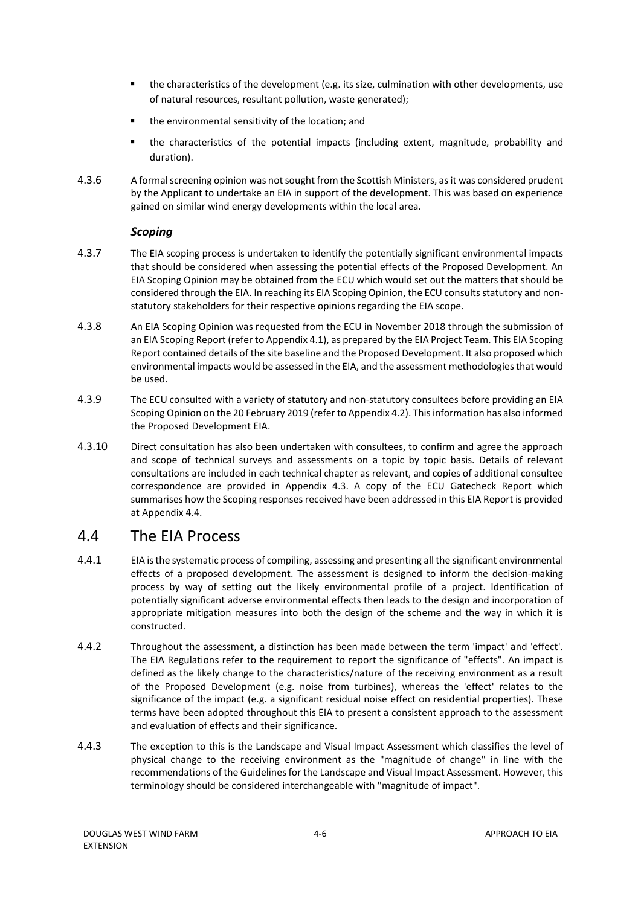- the characteristics of the development (e.g. its size, culmination with other developments, use of natural resources, resultant pollution, waste generated);
- the environmental sensitivity of the location; and
- the characteristics of the potential impacts (including extent, magnitude, probability and duration).
- 4.3.6 A formal screening opinion was not sought from the Scottish Ministers, as it was considered prudent by the Applicant to undertake an EIA in support of the development. This was based on experience gained on similar wind energy developments within the local area.

#### *Scoping*

- 4.3.7 The EIA scoping process is undertaken to identify the potentially significant environmental impacts that should be considered when assessing the potential effects of the Proposed Development. An EIA Scoping Opinion may be obtained from the ECU which would set out the matters that should be considered through the EIA. In reaching its EIA Scoping Opinion, the ECU consults statutory and nonstatutory stakeholders for their respective opinions regarding the EIA scope.
- 4.3.8 An EIA Scoping Opinion was requested from the ECU in November 2018 through the submission of an EIA Scoping Report (refer to Appendix 4.1), as prepared by the EIA Project Team. This EIA Scoping Report contained details of the site baseline and the Proposed Development. It also proposed which environmental impacts would be assessed in the EIA, and the assessment methodologies that would be used.
- 4.3.9 The ECU consulted with a variety of statutory and non-statutory consultees before providing an EIA Scoping Opinion on the 20 February 2019 (refer to Appendix 4.2). This information has also informed the Proposed Development EIA.
- 4.3.10 Direct consultation has also been undertaken with consultees, to confirm and agree the approach and scope of technical surveys and assessments on a topic by topic basis. Details of relevant consultations are included in each technical chapter as relevant, and copies of additional consultee correspondence are provided in Appendix 4.3. A copy of the ECU Gatecheck Report which summarises how the Scoping responses received have been addressed in this EIA Report is provided at Appendix 4.4.

## <span id="page-7-0"></span>4.4 The EIA Process

- 4.4.1 EIA is the systematic process of compiling, assessing and presenting all the significant environmental effects of a proposed development. The assessment is designed to inform the decision-making process by way of setting out the likely environmental profile of a project. Identification of potentially significant adverse environmental effects then leads to the design and incorporation of appropriate mitigation measures into both the design of the scheme and the way in which it is constructed.
- 4.4.2 Throughout the assessment, a distinction has been made between the term 'impact' and 'effect'. The EIA Regulations refer to the requirement to report the significance of "effects". An impact is defined as the likely change to the characteristics/nature of the receiving environment as a result of the Proposed Development (e.g. noise from turbines), whereas the 'effect' relates to the significance of the impact (e.g. a significant residual noise effect on residential properties). These terms have been adopted throughout this EIA to present a consistent approach to the assessment and evaluation of effects and their significance.
- 4.4.3 The exception to this is the Landscape and Visual Impact Assessment which classifies the level of physical change to the receiving environment as the "magnitude of change" in line with the recommendations of the Guidelines for the Landscape and Visual Impact Assessment. However, this terminology should be considered interchangeable with "magnitude of impact".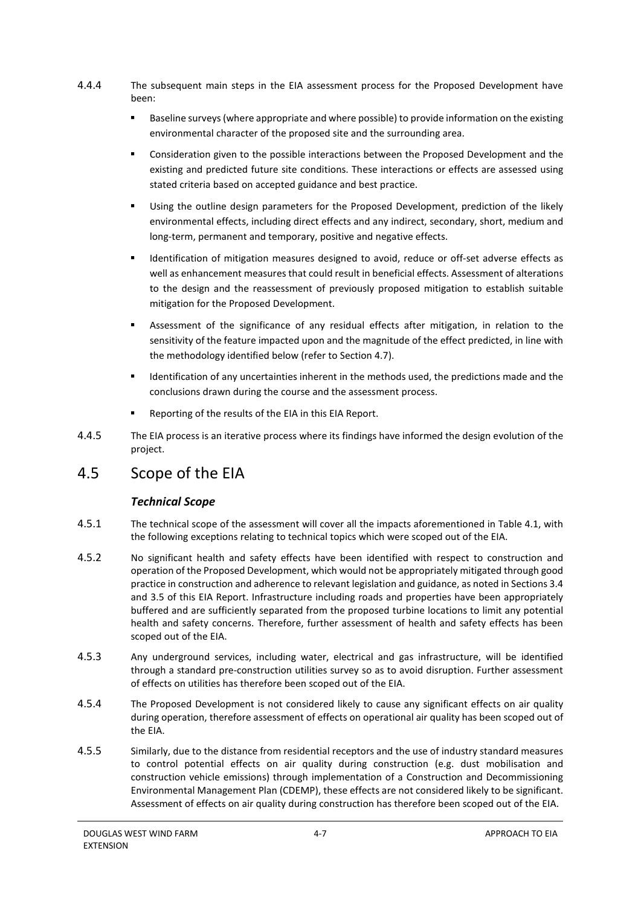- 4.4.4 The subsequent main steps in the EIA assessment process for the Proposed Development have been:
	- Baseline surveys (where appropriate and where possible) to provide information on the existing environmental character of the proposed site and the surrounding area.
	- Consideration given to the possible interactions between the Proposed Development and the existing and predicted future site conditions. These interactions or effects are assessed using stated criteria based on accepted guidance and best practice.
	- Using the outline design parameters for the Proposed Development, prediction of the likely environmental effects, including direct effects and any indirect, secondary, short, medium and long-term, permanent and temporary, positive and negative effects.
	- Identification of mitigation measures designed to avoid, reduce or off-set adverse effects as well as enhancement measures that could result in beneficial effects. Assessment of alterations to the design and the reassessment of previously proposed mitigation to establish suitable mitigation for the Proposed Development.
	- Assessment of the significance of any residual effects after mitigation, in relation to the sensitivity of the feature impacted upon and the magnitude of the effect predicted, in line with the methodology identified below (refer to Section 4.7).
	- Identification of any uncertainties inherent in the methods used, the predictions made and the conclusions drawn during the course and the assessment process.
	- Reporting of the results of the EIA in this EIA Report.
- 4.4.5 The EIA process is an iterative process where its findings have informed the design evolution of the project.

## <span id="page-8-0"></span>4.5 Scope of the EIA

### *Technical Scope*

- 4.5.1 The technical scope of the assessment will cover all the impacts aforementioned in Table 4.1, with the following exceptions relating to technical topics which were scoped out of the EIA.
- 4.5.2 No significant health and safety effects have been identified with respect to construction and operation of the Proposed Development, which would not be appropriately mitigated through good practice in construction and adherence to relevant legislation and guidance, as noted in Sections 3.4 and 3.5 of this EIA Report. Infrastructure including roads and properties have been appropriately buffered and are sufficiently separated from the proposed turbine locations to limit any potential health and safety concerns. Therefore, further assessment of health and safety effects has been scoped out of the EIA.
- 4.5.3 Any underground services, including water, electrical and gas infrastructure, will be identified through a standard pre-construction utilities survey so as to avoid disruption. Further assessment of effects on utilities has therefore been scoped out of the EIA.
- 4.5.4 The Proposed Development is not considered likely to cause any significant effects on air quality during operation, therefore assessment of effects on operational air quality has been scoped out of the EIA.
- 4.5.5 Similarly, due to the distance from residential receptors and the use of industry standard measures to control potential effects on air quality during construction (e.g. dust mobilisation and construction vehicle emissions) through implementation of a Construction and Decommissioning Environmental Management Plan (CDEMP), these effects are not considered likely to be significant. Assessment of effects on air quality during construction has therefore been scoped out of the EIA.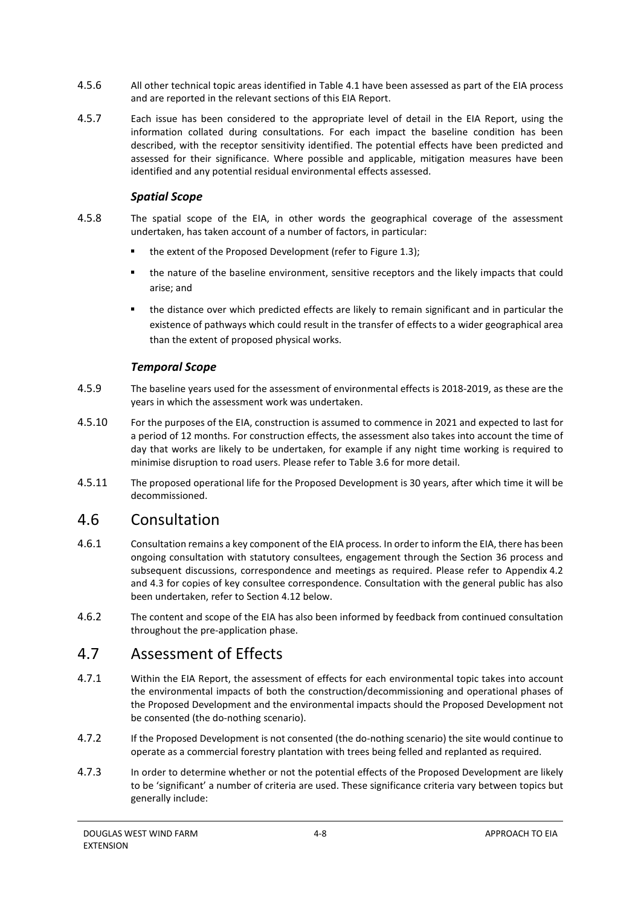- 4.5.6 All other technical topic areas identified in Table 4.1 have been assessed as part of the EIA process and are reported in the relevant sections of this EIA Report.
- 4.5.7 Each issue has been considered to the appropriate level of detail in the EIA Report, using the information collated during consultations. For each impact the baseline condition has been described, with the receptor sensitivity identified. The potential effects have been predicted and assessed for their significance. Where possible and applicable, mitigation measures have been identified and any potential residual environmental effects assessed.

#### *Spatial Scope*

- 4.5.8 The spatial scope of the EIA, in other words the geographical coverage of the assessment undertaken, has taken account of a number of factors, in particular:
	- the extent of the Proposed Development (refer to Figure 1.3);
	- the nature of the baseline environment, sensitive receptors and the likely impacts that could arise; and
	- the distance over which predicted effects are likely to remain significant and in particular the existence of pathways which could result in the transfer of effects to a wider geographical area than the extent of proposed physical works.

### *Temporal Scope*

- 4.5.9 The baseline years used for the assessment of environmental effects is 2018-2019, as these are the years in which the assessment work was undertaken.
- 4.5.10 For the purposes of the EIA, construction is assumed to commence in 2021 and expected to last for a period of 12 months. For construction effects, the assessment also takes into account the time of day that works are likely to be undertaken, for example if any night time working is required to minimise disruption to road users. Please refer to Table 3.6 for more detail.
- 4.5.11 The proposed operational life for the Proposed Development is 30 years, after which time it will be decommissioned.

## <span id="page-9-0"></span>4.6 Consultation

- 4.6.1 Consultation remains a key component of the EIA process. In order to inform the EIA, there has been ongoing consultation with statutory consultees, engagement through the Section 36 process and subsequent discussions, correspondence and meetings as required. Please refer to Appendix 4.2 and 4.3 for copies of key consultee correspondence. Consultation with the general public has also been undertaken, refer to Section 4.12 below.
- 4.6.2 The content and scope of the EIA has also been informed by feedback from continued consultation throughout the pre-application phase.

## <span id="page-9-1"></span>4.7 Assessment of Effects

- 4.7.1 Within the EIA Report, the assessment of effects for each environmental topic takes into account the environmental impacts of both the construction/decommissioning and operational phases of the Proposed Development and the environmental impacts should the Proposed Development not be consented (the do-nothing scenario).
- 4.7.2 If the Proposed Development is not consented (the do-nothing scenario) the site would continue to operate as a commercial forestry plantation with trees being felled and replanted as required.
- 4.7.3 In order to determine whether or not the potential effects of the Proposed Development are likely to be 'significant' a number of criteria are used. These significance criteria vary between topics but generally include: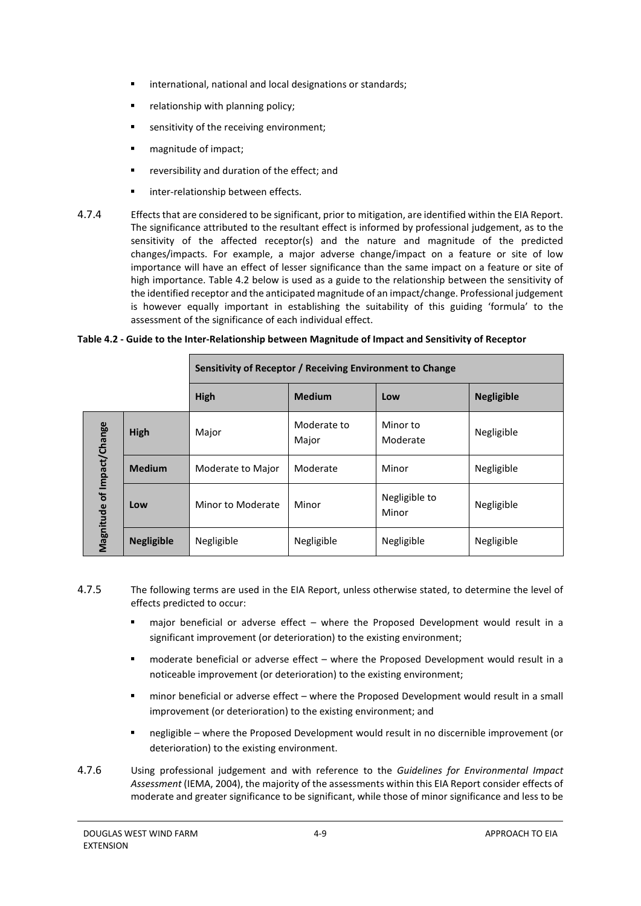- **EXECT** international, national and local designations or standards;
- relationship with planning policy;
- sensitivity of the receiving environment:
- **nagnitude of impact;**
- reversibility and duration of the effect; and
- inter-relationship between effects.
- 4.7.4 Effects that are considered to be significant, prior to mitigation, are identified within the EIA Report. The significance attributed to the resultant effect is informed by professional judgement, as to the sensitivity of the affected receptor(s) and the nature and magnitude of the predicted changes/impacts. For example, a major adverse change/impact on a feature or site of low importance will have an effect of lesser significance than the same impact on a feature or site of high importance. Table 4.2 below is used as a guide to the relationship between the sensitivity of the identified receptor and the anticipated magnitude of an impact/change. Professional judgement is however equally important in establishing the suitability of this guiding 'formula' to the assessment of the significance of each individual effect.

**Table 4.2 - Guide to the Inter-Relationship between Magnitude of Impact and Sensitivity of Receptor**

|                  |                   | Sensitivity of Receptor / Receiving Environment to Change |                      |                        |                   |
|------------------|-------------------|-----------------------------------------------------------|----------------------|------------------------|-------------------|
|                  |                   | High                                                      | <b>Medium</b>        | Low                    | <b>Negligible</b> |
| of Impact/Change | High              | Major                                                     | Moderate to<br>Major | Minor to<br>Moderate   | Negligible        |
|                  | <b>Medium</b>     | Moderate to Major                                         | Moderate             | Minor                  | Negligible        |
|                  | Low               | Minor to Moderate                                         | Minor                | Negligible to<br>Minor | Negligible        |
| Magnitude        | <b>Negligible</b> | Negligible                                                | Negligible           | Negligible             | Negligible        |

#### 4.7.5 The following terms are used in the EIA Report, unless otherwise stated, to determine the level of effects predicted to occur:

- major beneficial or adverse effect where the Proposed Development would result in a significant improvement (or deterioration) to the existing environment;
- moderate beneficial or adverse effect where the Proposed Development would result in a noticeable improvement (or deterioration) to the existing environment;
- minor beneficial or adverse effect where the Proposed Development would result in a small improvement (or deterioration) to the existing environment; and
- negligible where the Proposed Development would result in no discernible improvement (or deterioration) to the existing environment.
- 4.7.6 Using professional judgement and with reference to the *Guidelines for Environmental Impact Assessment* (IEMA, 2004), the majority of the assessments within this EIA Report consider effects of moderate and greater significance to be significant, while those of minor significance and less to be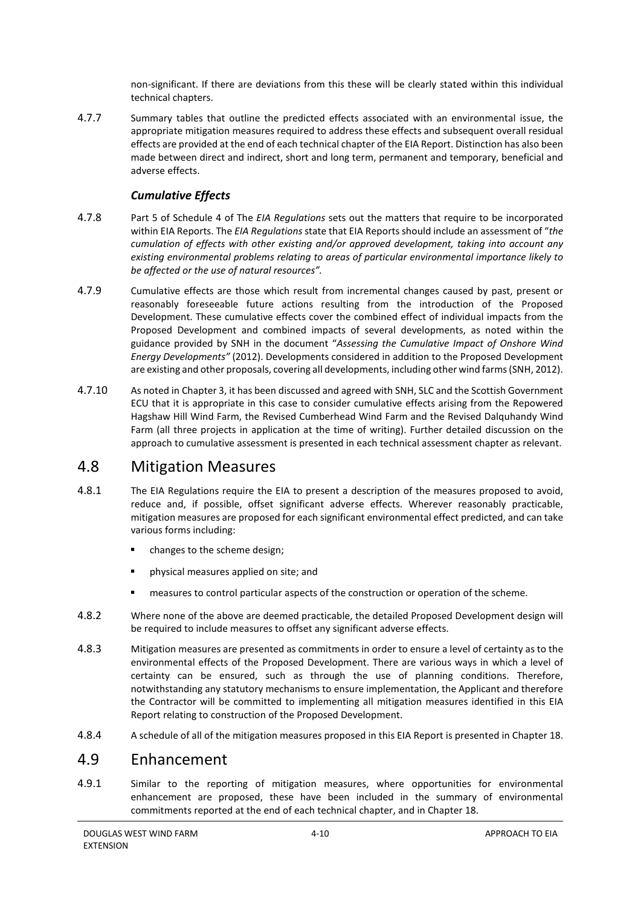non-significant. If there are deviations from this these will be clearly stated within this individual technical chapters.

4.7.7 Summary tables that outline the predicted effects associated with an environmental issue, the appropriate mitigation measures required to address these effects and subsequent overall residual effects are provided at the end of each technical chapter of the EIA Report. Distinction has also been made between direct and indirect, short and long term, permanent and temporary, beneficial and adverse effects.

#### *Cumulative Effects*

- 4.7.8 Part 5 of Schedule 4 of The *EIA Regulations* sets out the matters that require to be incorporated within EIA Reports. The *EIA Regulations* state that EIA Reports should include an assessment of "*the cumulation of effects with other existing and/or approved development, taking into account any existing environmental problems relating to areas of particular environmental importance likely to be affected or the use of natural resources".*
- 4.7.9 Cumulative effects are those which result from incremental changes caused by past, present or reasonably foreseeable future actions resulting from the introduction of the Proposed Development. These cumulative effects cover the combined effect of individual impacts from the Proposed Development and combined impacts of several developments, as noted within the guidance provided by SNH in the document "*Assessing the Cumulative Impact of Onshore Wind Energy Developments"* (2012). Developments considered in addition to the Proposed Development are existing and other proposals, covering all developments, including other wind farms (SNH, 2012).
- 4.7.10 As noted in Chapter 3, it has been discussed and agreed with SNH, SLC and the Scottish Government ECU that it is appropriate in this case to consider cumulative effects arising from the Repowered Hagshaw Hill Wind Farm, the Revised Cumberhead Wind Farm and the Revised Dalquhandy Wind Farm (all three projects in application at the time of writing). Further detailed discussion on the approach to cumulative assessment is presented in each technical assessment chapter as relevant.

## <span id="page-11-0"></span>4.8 Mitigation Measures

- 4.8.1 The EIA Regulations require the EIA to present a description of the measures proposed to avoid, reduce and, if possible, offset significant adverse effects. Wherever reasonably practicable, mitigation measures are proposed for each significant environmental effect predicted, and can take various forms including:
	- changes to the scheme design;
	- physical measures applied on site; and
	- measures to control particular aspects of the construction or operation of the scheme.
- 4.8.2 Where none of the above are deemed practicable, the detailed Proposed Development design will be required to include measures to offset any significant adverse effects.
- 4.8.3 Mitigation measures are presented as commitments in order to ensure a level of certainty as to the environmental effects of the Proposed Development. There are various ways in which a level of certainty can be ensured, such as through the use of planning conditions. Therefore, notwithstanding any statutory mechanisms to ensure implementation, the Applicant and therefore the Contractor will be committed to implementing all mitigation measures identified in this EIA Report relating to construction of the Proposed Development.
- 4.8.4 A schedule of all of the mitigation measures proposed in this EIA Report is presented in Chapter 18.

## <span id="page-11-1"></span>4.9 Enhancement

4.9.1 Similar to the reporting of mitigation measures, where opportunities for environmental enhancement are proposed, these have been included in the summary of environmental commitments reported at the end of each technical chapter, and in Chapter 18.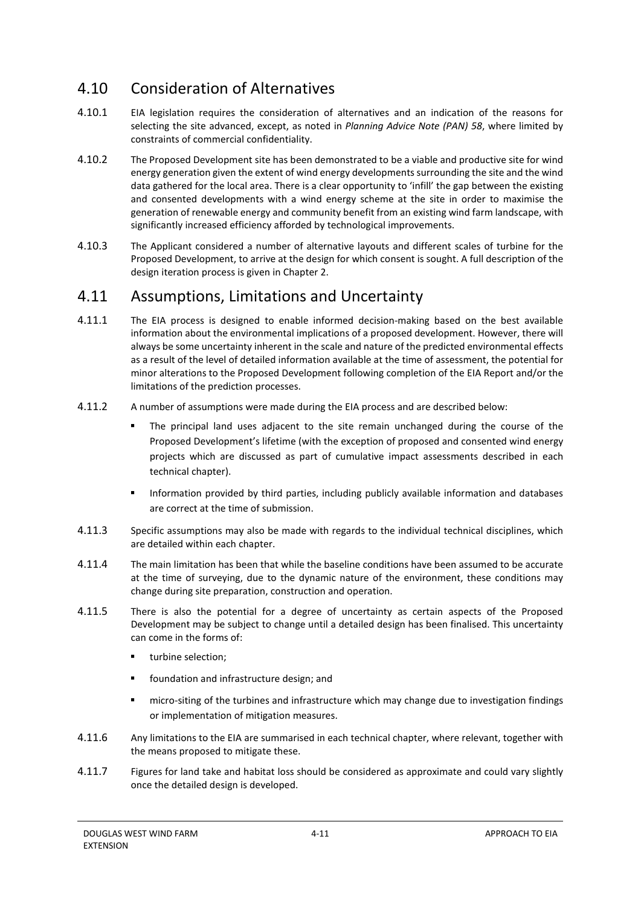# <span id="page-12-0"></span>4.10 Consideration of Alternatives

- 4.10.1 EIA legislation requires the consideration of alternatives and an indication of the reasons for selecting the site advanced, except, as noted in *Planning Advice Note (PAN) 58*, where limited by constraints of commercial confidentiality.
- 4.10.2 The Proposed Development site has been demonstrated to be a viable and productive site for wind energy generation given the extent of wind energy developments surrounding the site and the wind data gathered for the local area. There is a clear opportunity to 'infill' the gap between the existing and consented developments with a wind energy scheme at the site in order to maximise the generation of renewable energy and community benefit from an existing wind farm landscape, with significantly increased efficiency afforded by technological improvements.
- 4.10.3 The Applicant considered a number of alternative layouts and different scales of turbine for the Proposed Development, to arrive at the design for which consent is sought. A full description of the design iteration process is given in Chapter 2.

## <span id="page-12-1"></span>4.11 Assumptions, Limitations and Uncertainty

- 4.11.1 The EIA process is designed to enable informed decision-making based on the best available information about the environmental implications of a proposed development. However, there will always be some uncertainty inherent in the scale and nature of the predicted environmental effects as a result of the level of detailed information available at the time of assessment, the potential for minor alterations to the Proposed Development following completion of the EIA Report and/or the limitations of the prediction processes.
- 4.11.2 A number of assumptions were made during the EIA process and are described below:
	- The principal land uses adjacent to the site remain unchanged during the course of the Proposed Development's lifetime (with the exception of proposed and consented wind energy projects which are discussed as part of cumulative impact assessments described in each technical chapter).
	- **Information provided by third parties, including publicly available information and databases** are correct at the time of submission.
- 4.11.3 Specific assumptions may also be made with regards to the individual technical disciplines, which are detailed within each chapter.
- 4.11.4 The main limitation has been that while the baseline conditions have been assumed to be accurate at the time of surveying, due to the dynamic nature of the environment, these conditions may change during site preparation, construction and operation.
- 4.11.5 There is also the potential for a degree of uncertainty as certain aspects of the Proposed Development may be subject to change until a detailed design has been finalised. This uncertainty can come in the forms of:
	- **u** turbine selection;
	- **F** foundation and infrastructure design; and
	- micro-siting of the turbines and infrastructure which may change due to investigation findings or implementation of mitigation measures.
- 4.11.6 Any limitations to the EIA are summarised in each technical chapter, where relevant, together with the means proposed to mitigate these.
- 4.11.7 Figures for land take and habitat loss should be considered as approximate and could vary slightly once the detailed design is developed.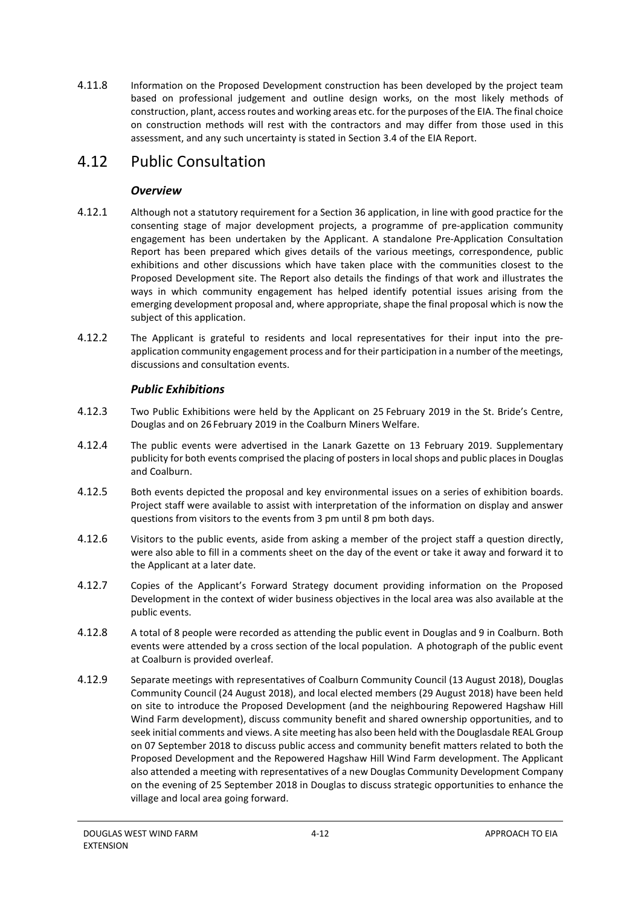4.11.8 Information on the Proposed Development construction has been developed by the project team based on professional judgement and outline design works, on the most likely methods of construction, plant, access routes and working areas etc. for the purposes of the EIA. The final choice on construction methods will rest with the contractors and may differ from those used in this assessment, and any such uncertainty is stated in Section 3.4 of the EIA Report.

## <span id="page-13-0"></span>4.12 Public Consultation

#### *Overview*

- 4.12.1 Although not a statutory requirement for a Section 36 application, in line with good practice for the consenting stage of major development projects, a programme of pre-application community engagement has been undertaken by the Applicant. A standalone Pre-Application Consultation Report has been prepared which gives details of the various meetings, correspondence, public exhibitions and other discussions which have taken place with the communities closest to the Proposed Development site. The Report also details the findings of that work and illustrates the ways in which community engagement has helped identify potential issues arising from the emerging development proposal and, where appropriate, shape the final proposal which is now the subject of this application.
- 4.12.2 The Applicant is grateful to residents and local representatives for their input into the preapplication community engagement process and for their participation in a number of the meetings, discussions and consultation events.

### *Public Exhibitions*

- 4.12.3 Two Public Exhibitions were held by the Applicant on 25 February 2019 in the St. Bride's Centre, Douglas and on 26 February 2019 in the Coalburn Miners Welfare.
- 4.12.4 The public events were advertised in the Lanark Gazette on 13 February 2019. Supplementary publicity for both events comprised the placing of posters in local shops and public places in Douglas and Coalburn.
- 4.12.5 Both events depicted the proposal and key environmental issues on a series of exhibition boards. Project staff were available to assist with interpretation of the information on display and answer questions from visitors to the events from 3 pm until 8 pm both days.
- 4.12.6 Visitors to the public events, aside from asking a member of the project staff a question directly, were also able to fill in a comments sheet on the day of the event or take it away and forward it to the Applicant at a later date.
- 4.12.7 Copies of the Applicant's Forward Strategy document providing information on the Proposed Development in the context of wider business objectives in the local area was also available at the public events.
- 4.12.8 A total of 8 people were recorded as attending the public event in Douglas and 9 in Coalburn. Both events were attended by a cross section of the local population. A photograph of the public event at Coalburn is provided overleaf.
- 4.12.9 Separate meetings with representatives of Coalburn Community Council (13 August 2018), Douglas Community Council (24 August 2018), and local elected members (29 August 2018) have been held on site to introduce the Proposed Development (and the neighbouring Repowered Hagshaw Hill Wind Farm development), discuss community benefit and shared ownership opportunities, and to seek initial comments and views. A site meeting has also been held with the Douglasdale REAL Group on 07 September 2018 to discuss public access and community benefit matters related to both the Proposed Development and the Repowered Hagshaw Hill Wind Farm development. The Applicant also attended a meeting with representatives of a new Douglas Community Development Company on the evening of 25 September 2018 in Douglas to discuss strategic opportunities to enhance the village and local area going forward.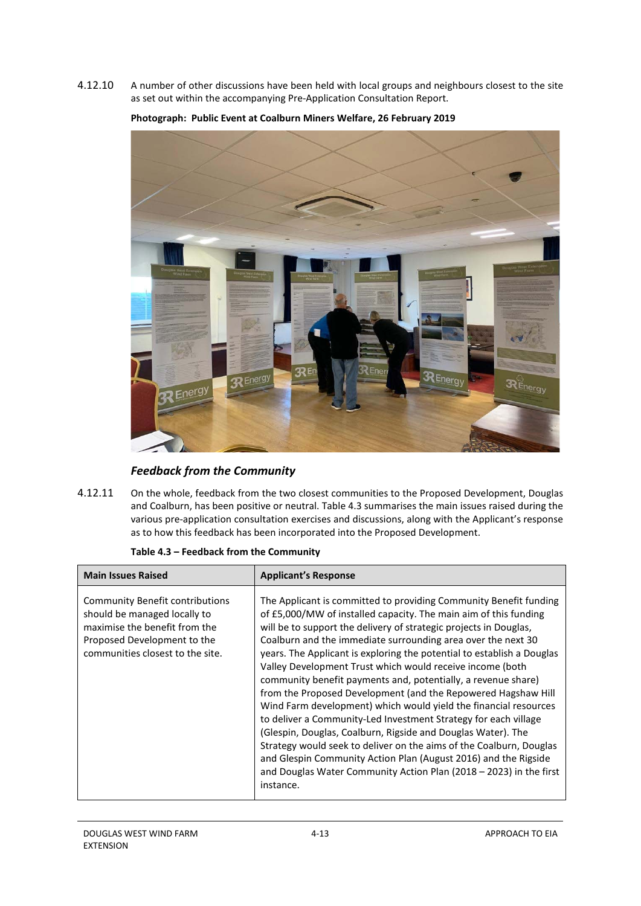4.12.10 A number of other discussions have been held with local groups and neighbours closest to the site as set out within the accompanying Pre-Application Consultation Report.



**Photograph: Public Event at Coalburn Miners Welfare, 26 February 2019**

*Feedback from the Community*

4.12.11 On the whole, feedback from the two closest communities to the Proposed Development, Douglas and Coalburn, has been positive or neutral. Table 4.3 summarises the main issues raised during the various pre-application consultation exercises and discussions, along with the Applicant's response as to how this feedback has been incorporated into the Proposed Development.

| Table 4.3 - Feedback from the Community |  |
|-----------------------------------------|--|
|-----------------------------------------|--|

| <b>Main Issues Raised</b>                                                                                                                                                  | <b>Applicant's Response</b>                                                                                                                                                                                                                                                                                                                                                                                                                                                                                                                                                                                                                                                                                                                                                                                                                                                                                                                                                             |
|----------------------------------------------------------------------------------------------------------------------------------------------------------------------------|-----------------------------------------------------------------------------------------------------------------------------------------------------------------------------------------------------------------------------------------------------------------------------------------------------------------------------------------------------------------------------------------------------------------------------------------------------------------------------------------------------------------------------------------------------------------------------------------------------------------------------------------------------------------------------------------------------------------------------------------------------------------------------------------------------------------------------------------------------------------------------------------------------------------------------------------------------------------------------------------|
| <b>Community Benefit contributions</b><br>should be managed locally to<br>maximise the benefit from the<br>Proposed Development to the<br>communities closest to the site. | The Applicant is committed to providing Community Benefit funding<br>of £5,000/MW of installed capacity. The main aim of this funding<br>will be to support the delivery of strategic projects in Douglas,<br>Coalburn and the immediate surrounding area over the next 30<br>years. The Applicant is exploring the potential to establish a Douglas<br>Valley Development Trust which would receive income (both<br>community benefit payments and, potentially, a revenue share)<br>from the Proposed Development (and the Repowered Hagshaw Hill<br>Wind Farm development) which would yield the financial resources<br>to deliver a Community-Led Investment Strategy for each village<br>(Glespin, Douglas, Coalburn, Rigside and Douglas Water). The<br>Strategy would seek to deliver on the aims of the Coalburn, Douglas<br>and Glespin Community Action Plan (August 2016) and the Rigside<br>and Douglas Water Community Action Plan (2018 - 2023) in the first<br>instance. |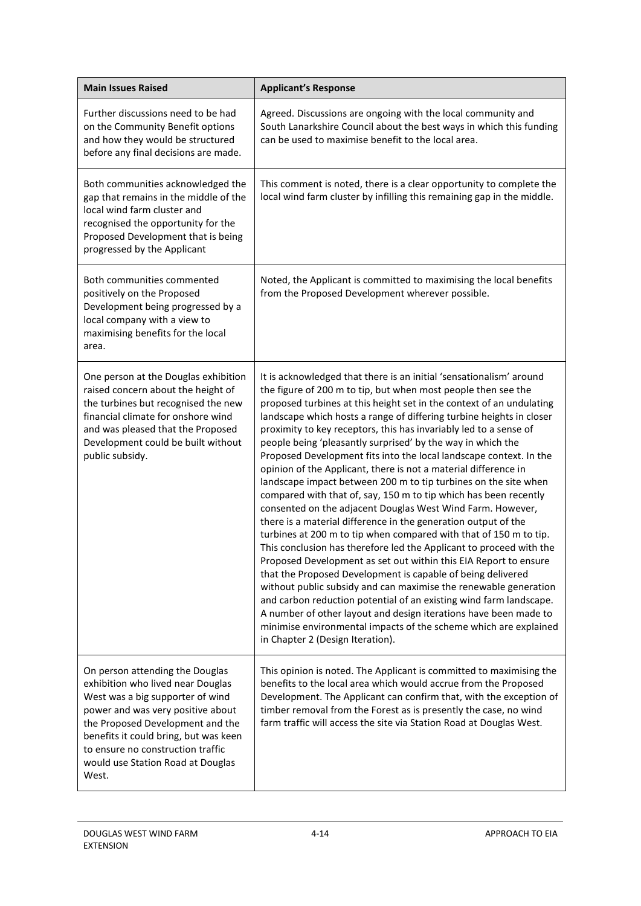| <b>Main Issues Raised</b>                                                                                                                                                                                                                                                                                     | <b>Applicant's Response</b>                                                                                                                                                                                                                                                                                                                                                                                                                                                                                                                                                                                                                                                                                                                                                                                                                                                                                                                                                                                                                                                                                                                                                                                                                                                                                                                                                                                                                   |  |
|---------------------------------------------------------------------------------------------------------------------------------------------------------------------------------------------------------------------------------------------------------------------------------------------------------------|-----------------------------------------------------------------------------------------------------------------------------------------------------------------------------------------------------------------------------------------------------------------------------------------------------------------------------------------------------------------------------------------------------------------------------------------------------------------------------------------------------------------------------------------------------------------------------------------------------------------------------------------------------------------------------------------------------------------------------------------------------------------------------------------------------------------------------------------------------------------------------------------------------------------------------------------------------------------------------------------------------------------------------------------------------------------------------------------------------------------------------------------------------------------------------------------------------------------------------------------------------------------------------------------------------------------------------------------------------------------------------------------------------------------------------------------------|--|
| Further discussions need to be had<br>on the Community Benefit options<br>and how they would be structured<br>before any final decisions are made.                                                                                                                                                            | Agreed. Discussions are ongoing with the local community and<br>South Lanarkshire Council about the best ways in which this funding<br>can be used to maximise benefit to the local area.                                                                                                                                                                                                                                                                                                                                                                                                                                                                                                                                                                                                                                                                                                                                                                                                                                                                                                                                                                                                                                                                                                                                                                                                                                                     |  |
| Both communities acknowledged the<br>gap that remains in the middle of the<br>local wind farm cluster and<br>recognised the opportunity for the<br>Proposed Development that is being<br>progressed by the Applicant                                                                                          | This comment is noted, there is a clear opportunity to complete the<br>local wind farm cluster by infilling this remaining gap in the middle.                                                                                                                                                                                                                                                                                                                                                                                                                                                                                                                                                                                                                                                                                                                                                                                                                                                                                                                                                                                                                                                                                                                                                                                                                                                                                                 |  |
| Both communities commented<br>positively on the Proposed<br>Development being progressed by a<br>local company with a view to<br>maximising benefits for the local<br>area.                                                                                                                                   | Noted, the Applicant is committed to maximising the local benefits<br>from the Proposed Development wherever possible.                                                                                                                                                                                                                                                                                                                                                                                                                                                                                                                                                                                                                                                                                                                                                                                                                                                                                                                                                                                                                                                                                                                                                                                                                                                                                                                        |  |
| One person at the Douglas exhibition<br>raised concern about the height of<br>the turbines but recognised the new<br>financial climate for onshore wind<br>and was pleased that the Proposed<br>Development could be built without<br>public subsidy.                                                         | It is acknowledged that there is an initial 'sensationalism' around<br>the figure of 200 m to tip, but when most people then see the<br>proposed turbines at this height set in the context of an undulating<br>landscape which hosts a range of differing turbine heights in closer<br>proximity to key receptors, this has invariably led to a sense of<br>people being 'pleasantly surprised' by the way in which the<br>Proposed Development fits into the local landscape context. In the<br>opinion of the Applicant, there is not a material difference in<br>landscape impact between 200 m to tip turbines on the site when<br>compared with that of, say, 150 m to tip which has been recently<br>consented on the adjacent Douglas West Wind Farm. However,<br>there is a material difference in the generation output of the<br>turbines at 200 m to tip when compared with that of 150 m to tip.<br>This conclusion has therefore led the Applicant to proceed with the<br>Proposed Development as set out within this EIA Report to ensure<br>that the Proposed Development is capable of being delivered<br>without public subsidy and can maximise the renewable generation<br>and carbon reduction potential of an existing wind farm landscape.<br>A number of other layout and design iterations have been made to<br>minimise environmental impacts of the scheme which are explained<br>in Chapter 2 (Design Iteration). |  |
| On person attending the Douglas<br>exhibition who lived near Douglas<br>West was a big supporter of wind<br>power and was very positive about<br>the Proposed Development and the<br>benefits it could bring, but was keen<br>to ensure no construction traffic<br>would use Station Road at Douglas<br>West. | This opinion is noted. The Applicant is committed to maximising the<br>benefits to the local area which would accrue from the Proposed<br>Development. The Applicant can confirm that, with the exception of<br>timber removal from the Forest as is presently the case, no wind<br>farm traffic will access the site via Station Road at Douglas West.                                                                                                                                                                                                                                                                                                                                                                                                                                                                                                                                                                                                                                                                                                                                                                                                                                                                                                                                                                                                                                                                                       |  |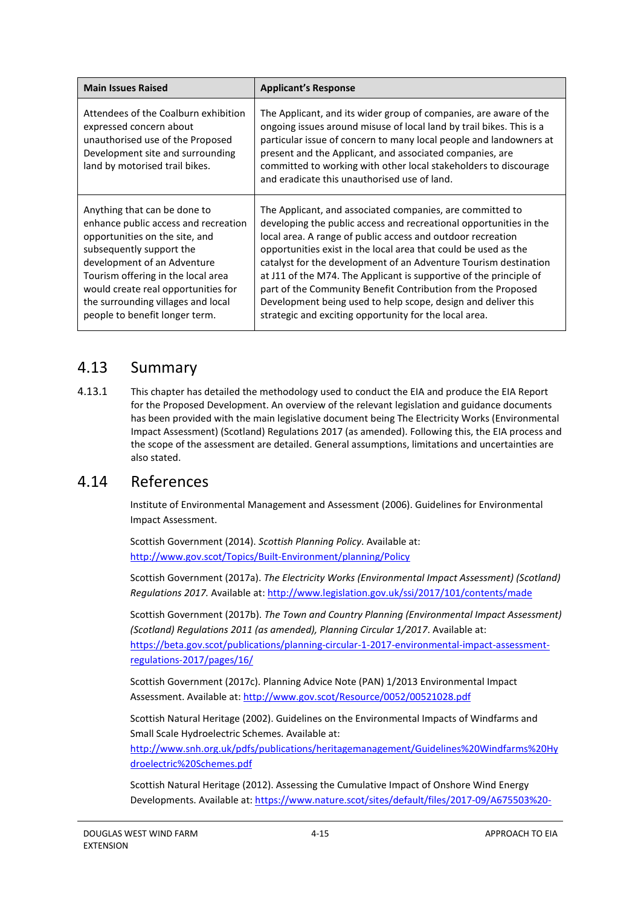| <b>Main Issues Raised</b>                                                                                                                                                                                                                                                                                              | <b>Applicant's Response</b>                                                                                                                                                                                                                                                                                                                                                                                                                                                                                                                                                                            |  |
|------------------------------------------------------------------------------------------------------------------------------------------------------------------------------------------------------------------------------------------------------------------------------------------------------------------------|--------------------------------------------------------------------------------------------------------------------------------------------------------------------------------------------------------------------------------------------------------------------------------------------------------------------------------------------------------------------------------------------------------------------------------------------------------------------------------------------------------------------------------------------------------------------------------------------------------|--|
| Attendees of the Coalburn exhibition<br>expressed concern about<br>unauthorised use of the Proposed<br>Development site and surrounding<br>land by motorised trail bikes.                                                                                                                                              | The Applicant, and its wider group of companies, are aware of the<br>ongoing issues around misuse of local land by trail bikes. This is a<br>particular issue of concern to many local people and landowners at<br>present and the Applicant, and associated companies, are<br>committed to working with other local stakeholders to discourage<br>and eradicate this unauthorised use of land.                                                                                                                                                                                                        |  |
| Anything that can be done to<br>enhance public access and recreation<br>opportunities on the site, and<br>subsequently support the<br>development of an Adventure<br>Tourism offering in the local area<br>would create real opportunities for<br>the surrounding villages and local<br>people to benefit longer term. | The Applicant, and associated companies, are committed to<br>developing the public access and recreational opportunities in the<br>local area. A range of public access and outdoor recreation<br>opportunities exist in the local area that could be used as the<br>catalyst for the development of an Adventure Tourism destination<br>at J11 of the M74. The Applicant is supportive of the principle of<br>part of the Community Benefit Contribution from the Proposed<br>Development being used to help scope, design and deliver this<br>strategic and exciting opportunity for the local area. |  |

## <span id="page-16-0"></span>4.13 Summary

4.13.1 This chapter has detailed the methodology used to conduct the EIA and produce the EIA Report for the Proposed Development. An overview of the relevant legislation and guidance documents has been provided with the main legislative document being The Electricity Works (Environmental Impact Assessment) (Scotland) Regulations 2017 (as amended). Following this, the EIA process and the scope of the assessment are detailed. General assumptions, limitations and uncertainties are also stated.

## <span id="page-16-1"></span>4.14 References

Institute of Environmental Management and Assessment (2006). Guidelines for Environmental Impact Assessment.

Scottish Government (2014). *Scottish Planning Policy*. Available at: <http://www.gov.scot/Topics/Built-Environment/planning/Policy>

Scottish Government (2017a). *The Electricity Works (Environmental Impact Assessment) (Scotland) Regulations 2017.* Available at[: http://www.legislation.gov.uk/ssi/2017/101/contents/made](http://www.legislation.gov.uk/ssi/2017/101/contents/made)

Scottish Government (2017b). *The Town and Country Planning (Environmental Impact Assessment) (Scotland) Regulations 2011 (as amended), Planning Circular 1/2017*. Available at: [https://beta.gov.scot/publications/planning-circular-1-2017-environmental-impact-assessment](https://beta.gov.scot/publications/planning-circular-1-2017-environmental-impact-assessment-regulations-2017/pages/16/)[regulations-2017/pages/16/](https://beta.gov.scot/publications/planning-circular-1-2017-environmental-impact-assessment-regulations-2017/pages/16/)

Scottish Government (2017c). Planning Advice Note (PAN) 1/2013 Environmental Impact Assessment. Available at:<http://www.gov.scot/Resource/0052/00521028.pdf>

Scottish Natural Heritage (2002). Guidelines on the Environmental Impacts of Windfarms and Small Scale Hydroelectric Schemes. Available at:

[http://www.snh.org.uk/pdfs/publications/heritagemanagement/Guidelines%20Windfarms%20Hy](http://www.snh.org.uk/pdfs/publications/heritagemanagement/Guidelines%20Windfarms%20Hydroelectric%20Schemes.pdf) [droelectric%20Schemes.pdf](http://www.snh.org.uk/pdfs/publications/heritagemanagement/Guidelines%20Windfarms%20Hydroelectric%20Schemes.pdf)

Scottish Natural Heritage (2012). Assessing the Cumulative Impact of Onshore Wind Energy Developments. Available at: [https://www.nature.scot/sites/default/files/2017-09/A675503%20-](https://www.nature.scot/sites/default/files/2017-09/A675503%20-%20Assessing%20the%20cumulative%20impact%20of%20onshore%20wind%20energy%20developments.pdf)